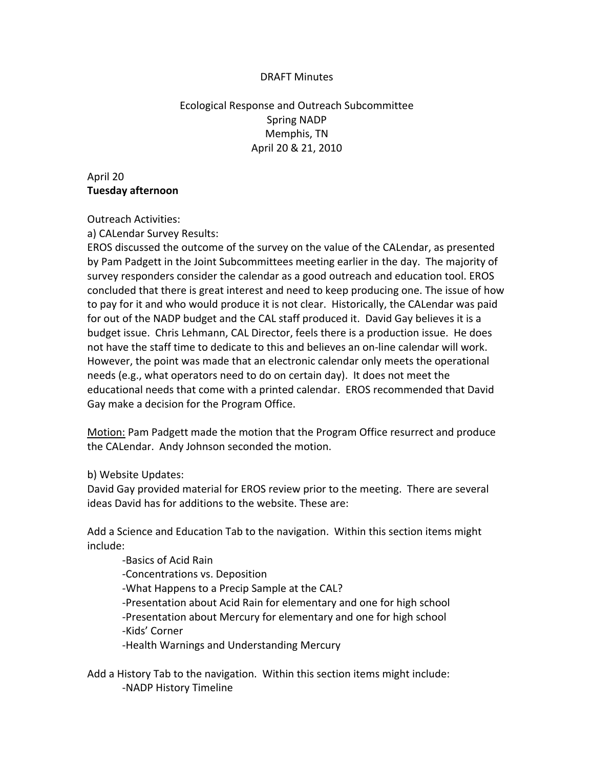#### DRAFT Minutes

Ecological Response and Outreach Subcommittee Spring NADP Memphis, TN April 20 & 21, 2010

April 20 **Tuesday afternoon**

Outreach Activities:

a) CALendar Survey Results:

EROS discussed the outcome of the survey on the value of the CALendar, as presented by Pam Padgett in the Joint Subcommittees meeting earlier in the day. The majority of survey responders consider the calendar as a good outreach and education tool. EROS concluded that there is great interest and need to keep producing one. The issue of how to pay for it and who would produce it is not clear. Historically, the CALendar was paid for out of the NADP budget and the CAL staff produced it. David Gay believes it is a budget issue. Chris Lehmann, CAL Director, feels there is a production issue. He does not have the staff time to dedicate to this and believes an on‐line calendar will work. However, the point was made that an electronic calendar only meets the operational needs (e.g., what operators need to do on certain day). It does not meet the educational needs that come with a printed calendar. EROS recommended that David Gay make a decision for the Program Office.

Motion: Pam Padgett made the motion that the Program Office resurrect and produce the CALendar. Andy Johnson seconded the motion.

b) Website Updates:

David Gay provided material for EROS review prior to the meeting. There are several ideas David has for additions to the website. These are:

Add a Science and Education Tab to the navigation. Within this section items might include:

 ‐Basics of Acid Rain ‐Concentrations vs. Deposition ‐What Happens to a Precip Sample at the CAL? ‐Presentation about Acid Rain for elementary and one for high school ‐Presentation about Mercury for elementary and one for high school ‐Kids' Corner ‐Health Warnings and Understanding Mercury

Add a History Tab to the navigation. Within this section items might include: ‐NADP History Timeline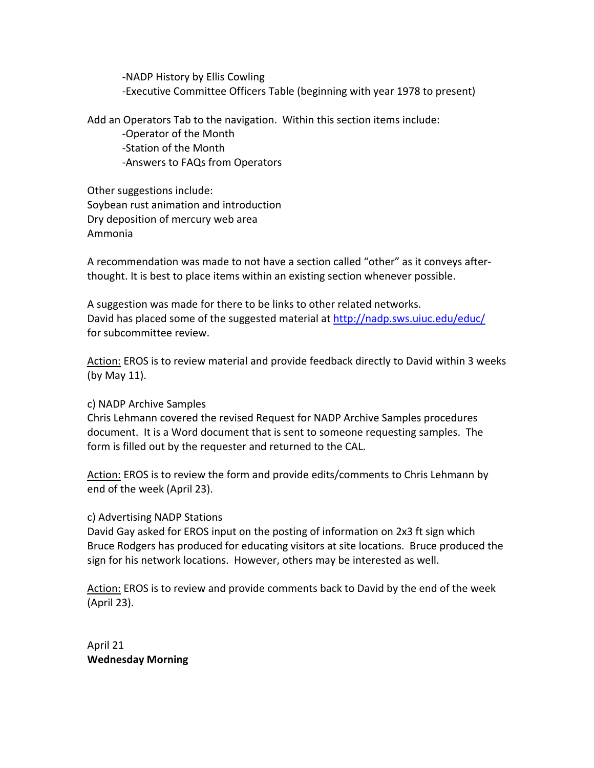‐NADP History by Ellis Cowling ‐Executive Committee Officers Table (beginning with year 1978 to present)

Add an Operators Tab to the navigation. Within this section items include: ‐Operator of the Month ‐Station of the Month ‐Answers to FAQs from Operators

Other suggestions include: Soybean rust animation and introduction Dry deposition of mercury web area Ammonia

A recommendation was made to not have a section called "other" as it conveys after‐ thought. It is best to place items within an existing section whenever possible.

A suggestion was made for there to be links to other related networks. David has placed some of the suggested material at http://nadp.sws.uiuc.edu/educ/ for subcommittee review.

Action: EROS is to review material and provide feedback directly to David within 3 weeks (by May 11).

### c) NADP Archive Samples

Chris Lehmann covered the revised Request for NADP Archive Samples procedures document. It is a Word document that is sent to someone requesting samples. The form is filled out by the requester and returned to the CAL.

Action: EROS is to review the form and provide edits/comments to Chris Lehmann by end of the week (April 23).

### c) Advertising NADP Stations

David Gay asked for EROS input on the posting of information on 2x3 ft sign which Bruce Rodgers has produced for educating visitors at site locations. Bruce produced the sign for his network locations. However, others may be interested as well.

Action: EROS is to review and provide comments back to David by the end of the week (April 23).

April 21 **Wednesday Morning**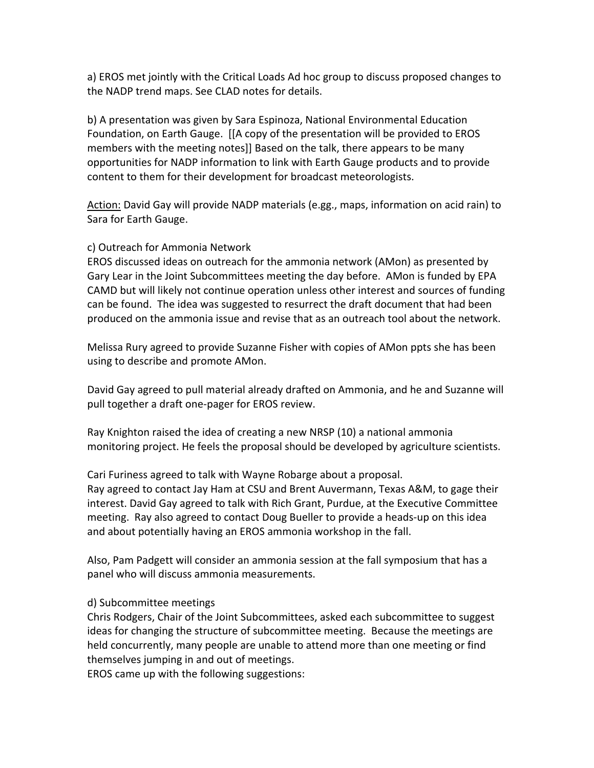a) EROS met jointly with the Critical Loads Ad hoc group to discuss proposed changes to the NADP trend maps. See CLAD notes for details.

b) A presentation was given by Sara Espinoza, National Environmental Education Foundation, on Earth Gauge. [[A copy of the presentation will be provided to EROS members with the meeting notes]] Based on the talk, there appears to be many opportunities for NADP information to link with Earth Gauge products and to provide content to them for their development for broadcast meteorologists.

Action: David Gay will provide NADP materials (e.gg., maps, information on acid rain) to Sara for Earth Gauge.

## c) Outreach for Ammonia Network

EROS discussed ideas on outreach for the ammonia network (AMon) as presented by Gary Lear in the Joint Subcommittees meeting the day before. AMon is funded by EPA CAMD but will likely not continue operation unless other interest and sources of funding can be found. The idea was suggested to resurrect the draft document that had been produced on the ammonia issue and revise that as an outreach tool about the network.

Melissa Rury agreed to provide Suzanne Fisher with copies of AMon ppts she has been using to describe and promote AMon.

David Gay agreed to pull material already drafted on Ammonia, and he and Suzanne will pull together a draft one‐pager for EROS review.

Ray Knighton raised the idea of creating a new NRSP (10) a national ammonia monitoring project. He feels the proposal should be developed by agriculture scientists.

Cari Furiness agreed to talk with Wayne Robarge about a proposal. Ray agreed to contact Jay Ham at CSU and Brent Auvermann, Texas A&M, to gage their interest. David Gay agreed to talk with Rich Grant, Purdue, at the Executive Committee meeting. Ray also agreed to contact Doug Bueller to provide a heads‐up on this idea and about potentially having an EROS ammonia workshop in the fall.

Also, Pam Padgett will consider an ammonia session at the fall symposium that has a panel who will discuss ammonia measurements.

# d) Subcommittee meetings

Chris Rodgers, Chair of the Joint Subcommittees, asked each subcommittee to suggest ideas for changing the structure of subcommittee meeting. Because the meetings are held concurrently, many people are unable to attend more than one meeting or find themselves jumping in and out of meetings.

EROS came up with the following suggestions: